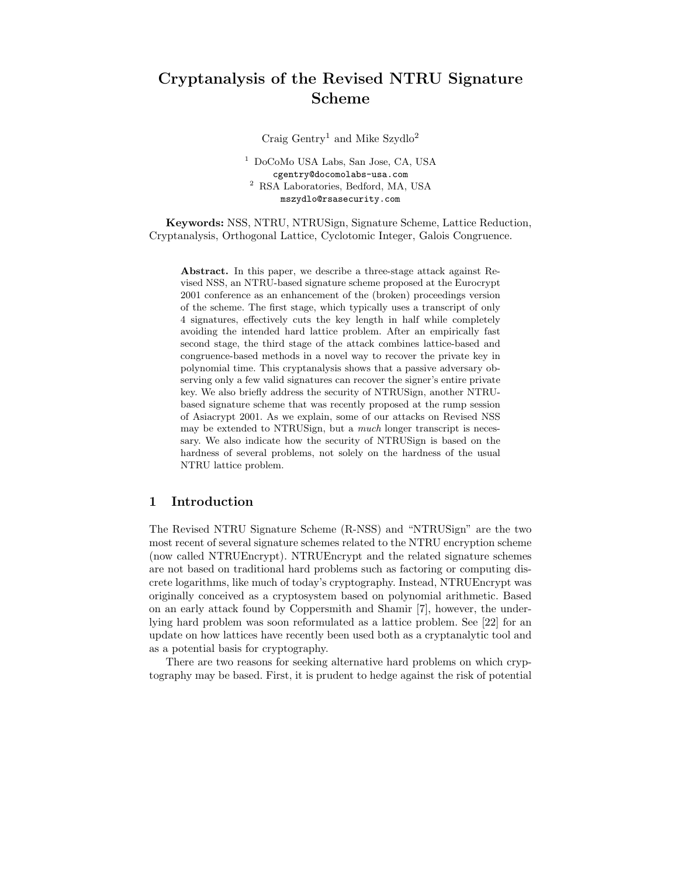# Cryptanalysis of the Revised NTRU Signature Scheme

Craig  $\mathrm{Gentry}^1$  and Mike Szydlo<sup>2</sup>

<sup>1</sup> DoCoMo USA Labs, San Jose, CA, USA cgentry@docomolabs-usa.com <sup>2</sup> RSA Laboratories, Bedford, MA, USA mszydlo@rsasecurity.com

Keywords: NSS, NTRU, NTRUSign, Signature Scheme, Lattice Reduction, Cryptanalysis, Orthogonal Lattice, Cyclotomic Integer, Galois Congruence.

Abstract. In this paper, we describe a three-stage attack against Revised NSS, an NTRU-based signature scheme proposed at the Eurocrypt 2001 conference as an enhancement of the (broken) proceedings version of the scheme. The first stage, which typically uses a transcript of only 4 signatures, effectively cuts the key length in half while completely avoiding the intended hard lattice problem. After an empirically fast second stage, the third stage of the attack combines lattice-based and congruence-based methods in a novel way to recover the private key in polynomial time. This cryptanalysis shows that a passive adversary observing only a few valid signatures can recover the signer's entire private key. We also briefly address the security of NTRUSign, another NTRUbased signature scheme that was recently proposed at the rump session of Asiacrypt 2001. As we explain, some of our attacks on Revised NSS may be extended to NTRUSign, but a *much* longer transcript is necessary. We also indicate how the security of NTRUSign is based on the hardness of several problems, not solely on the hardness of the usual NTRU lattice problem.

# 1 Introduction

The Revised NTRU Signature Scheme (R-NSS) and "NTRUSign" are the two most recent of several signature schemes related to the NTRU encryption scheme (now called NTRUEncrypt). NTRUEncrypt and the related signature schemes are not based on traditional hard problems such as factoring or computing discrete logarithms, like much of today's cryptography. Instead, NTRUEncrypt was originally conceived as a cryptosystem based on polynomial arithmetic. Based on an early attack found by Coppersmith and Shamir [7], however, the underlying hard problem was soon reformulated as a lattice problem. See [22] for an update on how lattices have recently been used both as a cryptanalytic tool and as a potential basis for cryptography.

There are two reasons for seeking alternative hard problems on which cryptography may be based. First, it is prudent to hedge against the risk of potential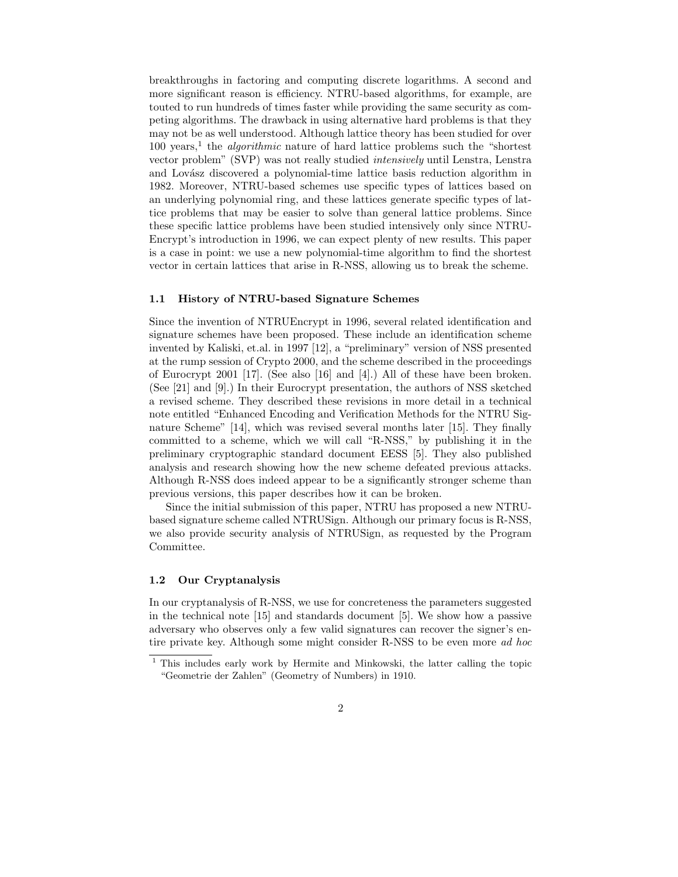breakthroughs in factoring and computing discrete logarithms. A second and more significant reason is efficiency. NTRU-based algorithms, for example, are touted to run hundreds of times faster while providing the same security as competing algorithms. The drawback in using alternative hard problems is that they may not be as well understood. Although lattice theory has been studied for over  $100 \text{ years},^1$  the *algorithmic* nature of hard lattice problems such the "shortest" vector problem" (SVP) was not really studied intensively until Lenstra, Lenstra and Lovász discovered a polynomial-time lattice basis reduction algorithm in 1982. Moreover, NTRU-based schemes use specific types of lattices based on an underlying polynomial ring, and these lattices generate specific types of lattice problems that may be easier to solve than general lattice problems. Since these specific lattice problems have been studied intensively only since NTRU-Encrypt's introduction in 1996, we can expect plenty of new results. This paper is a case in point: we use a new polynomial-time algorithm to find the shortest vector in certain lattices that arise in R-NSS, allowing us to break the scheme.

#### 1.1 History of NTRU-based Signature Schemes

Since the invention of NTRUEncrypt in 1996, several related identification and signature schemes have been proposed. These include an identification scheme invented by Kaliski, et.al. in 1997 [12], a "preliminary" version of NSS presented at the rump session of Crypto 2000, and the scheme described in the proceedings of Eurocrypt 2001 [17]. (See also [16] and [4].) All of these have been broken. (See [21] and [9].) In their Eurocrypt presentation, the authors of NSS sketched a revised scheme. They described these revisions in more detail in a technical note entitled "Enhanced Encoding and Verification Methods for the NTRU Signature Scheme" [14], which was revised several months later [15]. They finally committed to a scheme, which we will call "R-NSS," by publishing it in the preliminary cryptographic standard document EESS [5]. They also published analysis and research showing how the new scheme defeated previous attacks. Although R-NSS does indeed appear to be a significantly stronger scheme than previous versions, this paper describes how it can be broken.

Since the initial submission of this paper, NTRU has proposed a new NTRUbased signature scheme called NTRUSign. Although our primary focus is R-NSS, we also provide security analysis of NTRUSign, as requested by the Program Committee.

## 1.2 Our Cryptanalysis

In our cryptanalysis of R-NSS, we use for concreteness the parameters suggested in the technical note [15] and standards document [5]. We show how a passive adversary who observes only a few valid signatures can recover the signer's entire private key. Although some might consider R-NSS to be even more ad hoc

<sup>&</sup>lt;sup>1</sup> This includes early work by Hermite and Minkowski, the latter calling the topic "Geometrie der Zahlen" (Geometry of Numbers) in 1910.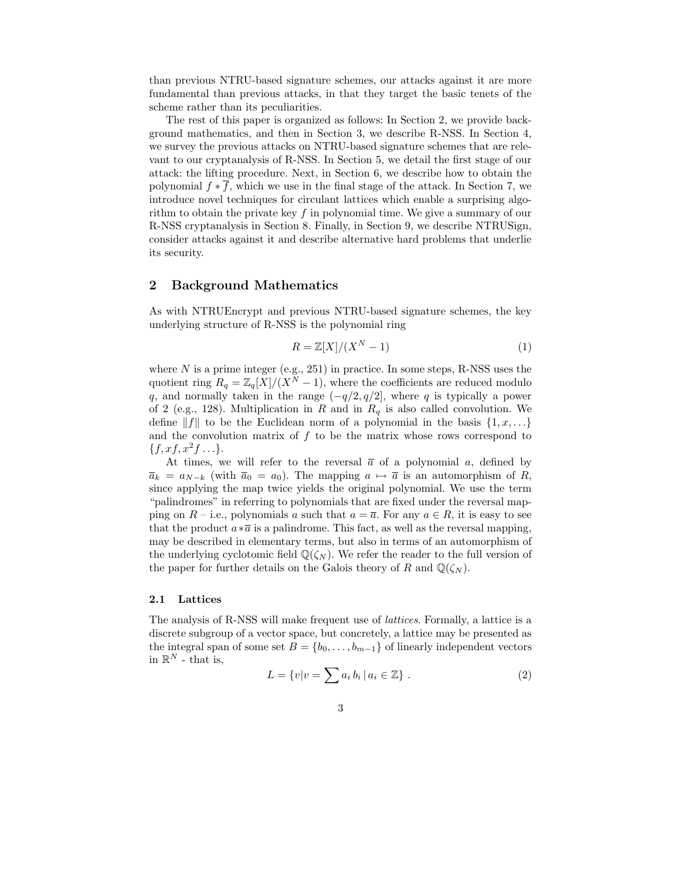than previous NTRU-based signature schemes, our attacks against it are more fundamental than previous attacks, in that they target the basic tenets of the scheme rather than its peculiarities.

The rest of this paper is organized as follows: In Section 2, we provide background mathematics, and then in Section 3, we describe R-NSS. In Section 4, we survey the previous attacks on NTRU-based signature schemes that are relevant to our cryptanalysis of R-NSS. In Section 5, we detail the first stage of our attack: the lifting procedure. Next, in Section 6, we describe how to obtain the polynomial  $f * f$ , which we use in the final stage of the attack. In Section 7, we introduce novel techniques for circulant lattices which enable a surprising algorithm to obtain the private key  $f$  in polynomial time. We give a summary of our R-NSS cryptanalysis in Section 8. Finally, in Section 9, we describe NTRUSign, consider attacks against it and describe alternative hard problems that underlie its security.

# 2 Background Mathematics

As with NTRUEncrypt and previous NTRU-based signature schemes, the key underlying structure of R-NSS is the polynomial ring

$$
R = \mathbb{Z}[X]/(X^N - 1) \tag{1}
$$

where  $N$  is a prime integer (e.g., 251) in practice. In some steps, R-NSS uses the quotient ring  $R_q = \mathbb{Z}_q[X]/(X^N - 1)$ , where the coefficients are reduced modulo q, and normally taken in the range  $(-q/2, q/2]$ , where q is typically a power of 2 (e.g., 128). Multiplication in R and in  $R_q$  is also called convolution. We define  $||f||$  to be the Euclidean norm of a polynomial in the basis  $\{1, x, \ldots\}$ and the convolution matrix of  $f$  to be the matrix whose rows correspond to  $\{f, xf, x^2f \ldots\}.$ 

At times, we will refer to the reversal  $\bar{a}$  of a polynomial a, defined by  $\overline{a}_k = a_{N-k}$  (with  $\overline{a}_0 = a_0$ ). The mapping  $a \mapsto \overline{a}$  is an automorphism of R, since applying the map twice yields the original polynomial. We use the term "palindromes" in referring to polynomials that are fixed under the reversal mapping on  $R$  – i.e., polynomials a such that  $a = \overline{a}$ . For any  $a \in R$ , it is easy to see that the product  $a * \overline{a}$  is a palindrome. This fact, as well as the reversal mapping, may be described in elementary terms, but also in terms of an automorphism of the underlying cyclotomic field  $\mathbb{Q}(\zeta_N)$ . We refer the reader to the full version of the paper for further details on the Galois theory of R and  $\mathbb{Q}(\zeta_N)$ .

#### 2.1 Lattices

The analysis of R-NSS will make frequent use of lattices. Formally, a lattice is a discrete subgroup of a vector space, but concretely, a lattice may be presented as the integral span of some set  $B = \{b_0, \ldots, b_{m-1}\}\$  of linearly independent vectors in  $\mathbb{R}^N$  - that is,

$$
L = \{v|v = \sum a_i b_i \, | \, a_i \in \mathbb{Z}\} \,.
$$
 (2)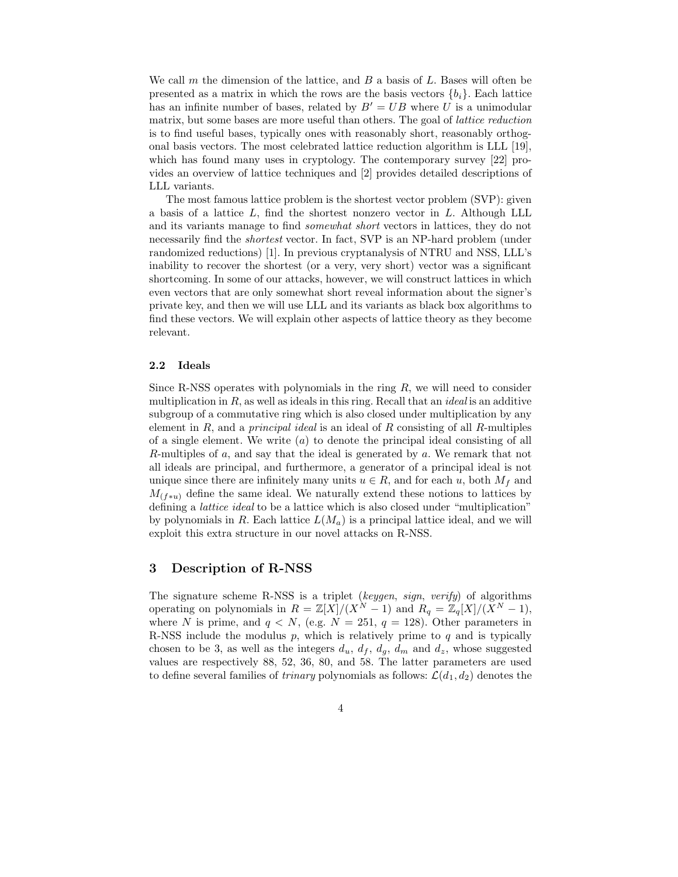We call m the dimension of the lattice, and  $B$  a basis of  $L$ . Bases will often be presented as a matrix in which the rows are the basis vectors  $\{b_i\}$ . Each lattice has an infinite number of bases, related by  $B' = UB$  where U is a unimodular matrix, but some bases are more useful than others. The goal of lattice reduction is to find useful bases, typically ones with reasonably short, reasonably orthogonal basis vectors. The most celebrated lattice reduction algorithm is LLL [19], which has found many uses in cryptology. The contemporary survey [22] provides an overview of lattice techniques and [2] provides detailed descriptions of LLL variants.

The most famous lattice problem is the shortest vector problem (SVP): given a basis of a lattice L, find the shortest nonzero vector in L. Although LLL and its variants manage to find somewhat short vectors in lattices, they do not necessarily find the shortest vector. In fact, SVP is an NP-hard problem (under randomized reductions) [1]. In previous cryptanalysis of NTRU and NSS, LLL's inability to recover the shortest (or a very, very short) vector was a significant shortcoming. In some of our attacks, however, we will construct lattices in which even vectors that are only somewhat short reveal information about the signer's private key, and then we will use LLL and its variants as black box algorithms to find these vectors. We will explain other aspects of lattice theory as they become relevant.

### 2.2 Ideals

Since R-NSS operates with polynomials in the ring  $R$ , we will need to consider multiplication in  $R$ , as well as ideals in this ring. Recall that an *ideal* is an additive subgroup of a commutative ring which is also closed under multiplication by any element in  $R$ , and a *principal ideal* is an ideal of  $R$  consisting of all  $R$ -multiples of a single element. We write  $(a)$  to denote the principal ideal consisting of all R-multiples of a, and say that the ideal is generated by a. We remark that not all ideals are principal, and furthermore, a generator of a principal ideal is not unique since there are infinitely many units  $u \in R$ , and for each u, both  $M_f$  and  $M_{(f*u)}$  define the same ideal. We naturally extend these notions to lattices by defining a lattice ideal to be a lattice which is also closed under "multiplication" by polynomials in R. Each lattice  $L(M_a)$  is a principal lattice ideal, and we will exploit this extra structure in our novel attacks on R-NSS.

# 3 Description of R-NSS

The signature scheme R-NSS is a triplet (keygen, sign, verify) of algorithms operating on polynomials in  $R = \mathbb{Z}[X]/(X^N - 1)$  and  $R_q = \mathbb{Z}_q[X]/(X^N - 1)$ , where N is prime, and  $q < N$ , (e.g.  $N = 251$ ,  $q = 128$ ). Other parameters in R-NSS include the modulus  $p$ , which is relatively prime to  $q$  and is typically chosen to be 3, as well as the integers  $d_u$ ,  $d_f$ ,  $d_g$ ,  $d_m$  and  $d_z$ , whose suggested values are respectively 88, 52, 36, 80, and 58. The latter parameters are used to define several families of *trinary* polynomials as follows:  $\mathcal{L}(d_1, d_2)$  denotes the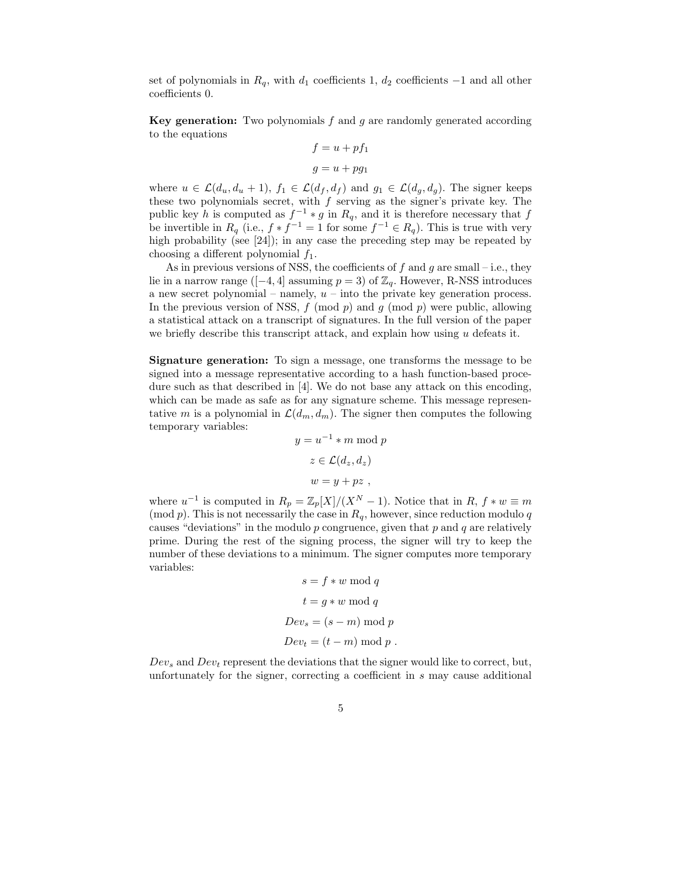set of polynomials in  $R_q$ , with  $d_1$  coefficients 1,  $d_2$  coefficients  $-1$  and all other coefficients 0.

**Key generation:** Two polynomials  $f$  and  $g$  are randomly generated according to the equations

$$
f = u + pf_1
$$

$$
g = u + pg_1
$$

where  $u \in \mathcal{L}(d_u, d_u + 1)$ ,  $f_1 \in \mathcal{L}(d_f, d_f)$  and  $g_1 \in \mathcal{L}(d_g, d_g)$ . The signer keeps these two polynomials secret, with  $f$  serving as the signer's private key. The public key h is computed as  $f^{-1} * g$  in  $R_q$ , and it is therefore necessary that f be invertible in  $R_q$  (i.e.,  $f * f^{-1} = 1$  for some  $f^{-1} \in R_q$ ). This is true with very high probability (see [24]); in any case the preceding step may be repeated by choosing a different polynomial  $f_1$ .

As in previous versions of NSS, the coefficients of  $f$  and  $g$  are small – i.e., they lie in a narrow range ([−4, 4] assuming  $p = 3$ ) of  $\mathbb{Z}_q$ . However, R-NSS introduces a new secret polynomial – namely,  $u$  – into the private key generation process. In the previous version of NSS,  $f \pmod{p}$  and  $q \pmod{p}$  were public, allowing a statistical attack on a transcript of signatures. In the full version of the paper we briefly describe this transcript attack, and explain how using  $u$  defeats it.

Signature generation: To sign a message, one transforms the message to be signed into a message representative according to a hash function-based procedure such as that described in [4]. We do not base any attack on this encoding, which can be made as safe as for any signature scheme. This message representative m is a polynomial in  $\mathcal{L}(d_m, d_m)$ . The signer then computes the following temporary variables:

$$
y = u^{-1} * m \mod p
$$

$$
z \in \mathcal{L}(d_z, d_z)
$$

$$
w = y + pz,
$$

where  $u^{-1}$  is computed in  $R_p = \mathbb{Z}_p[X]/(X^N - 1)$ . Notice that in  $R, f * w \equiv m$ (mod p). This is not necessarily the case in  $R_q$ , however, since reduction modulo q causes "deviations" in the modulo  $p$  congruence, given that  $p$  and  $q$  are relatively prime. During the rest of the signing process, the signer will try to keep the number of these deviations to a minimum. The signer computes more temporary variables:

$$
s = f * w \mod q
$$

$$
t = g * w \mod q
$$

$$
Dev_s = (s - m) \mod p
$$

$$
Dev_t = (t - m) \mod p
$$

 $Dev_s$  and  $Dev_t$  represent the deviations that the signer would like to correct, but, unfortunately for the signer, correcting a coefficient in s may cause additional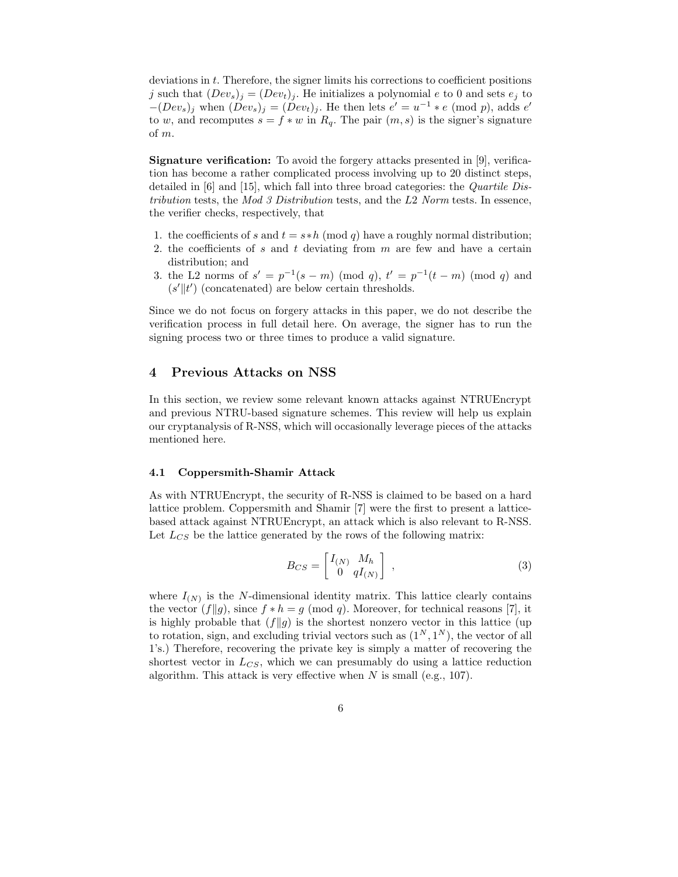deviations in t. Therefore, the signer limits his corrections to coefficient positions j such that  $(Dev_s)_j = (Dev_t)_j$ . He initializes a polynomial e to 0 and sets  $e_j$  to  $-(Dev_s)_j$  when  $(Dev_s)_j = (Dev_t)_j$ . He then lets  $e' = u^{-1} * e \pmod{p}$ , adds  $e'$ to w, and recomputes  $s = f * w$  in  $R_q$ . The pair  $(m, s)$  is the signer's signature of m.

Signature verification: To avoid the forgery attacks presented in [9], verification has become a rather complicated process involving up to 20 distinct steps, detailed in  $[6]$  and  $[15]$ , which fall into three broad categories: the *Quartile Dis*tribution tests, the Mod 3 Distribution tests, and the L2 Norm tests. In essence, the verifier checks, respectively, that

- 1. the coefficients of s and  $t = s * h \pmod{q}$  have a roughly normal distribution;
- 2. the coefficients of s and t deviating from  $m$  are few and have a certain distribution; and
- 3. the L2 norms of  $s' = p^{-1}(s-m) \pmod{q}$ ,  $t' = p^{-1}(t-m) \pmod{q}$  and  $(s^{\prime}\Vert t^{\prime})$  (concatenated) are below certain thresholds.

Since we do not focus on forgery attacks in this paper, we do not describe the verification process in full detail here. On average, the signer has to run the signing process two or three times to produce a valid signature.

# 4 Previous Attacks on NSS

In this section, we review some relevant known attacks against NTRUEncrypt and previous NTRU-based signature schemes. This review will help us explain our cryptanalysis of R-NSS, which will occasionally leverage pieces of the attacks mentioned here.

#### 4.1 Coppersmith-Shamir Attack

As with NTRUEncrypt, the security of R-NSS is claimed to be based on a hard lattice problem. Coppersmith and Shamir [7] were the first to present a latticebased attack against NTRUEncrypt, an attack which is also relevant to R-NSS. Let  $L_{CS}$  be the lattice generated by the rows of the following matrix:

$$
B_{CS} = \begin{bmatrix} I_{(N)} & M_h \\ 0 & qI_{(N)} \end{bmatrix} , \qquad (3)
$$

where  $I_{(N)}$  is the N-dimensional identity matrix. This lattice clearly contains the vector  $(f||g)$ , since  $f * h = g \pmod{q}$ . Moreover, for technical reasons [7], it is highly probable that  $(f||g)$  is the shortest nonzero vector in this lattice (up to rotation, sign, and excluding trivial vectors such as  $(1^N, 1^N)$ , the vector of all 1's.) Therefore, recovering the private key is simply a matter of recovering the shortest vector in  $L_{CS}$ , which we can presumably do using a lattice reduction algorithm. This attack is very effective when  $N$  is small (e.g., 107).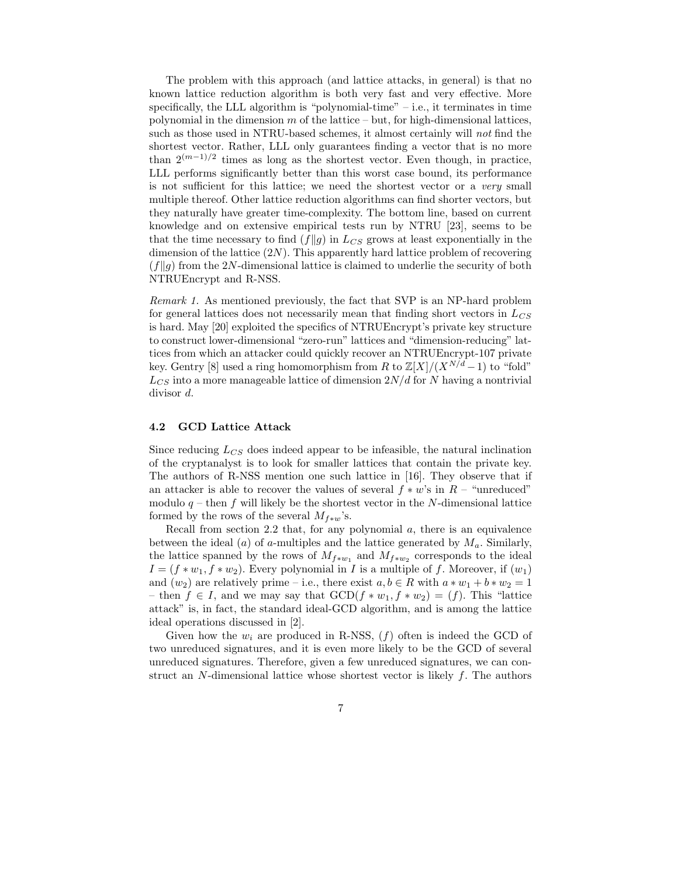The problem with this approach (and lattice attacks, in general) is that no known lattice reduction algorithm is both very fast and very effective. More specifically, the LLL algorithm is "polynomial-time"  $-$  i.e., it terminates in time polynomial in the dimension  $m$  of the lattice – but, for high-dimensional lattices, such as those used in NTRU-based schemes, it almost certainly will not find the shortest vector. Rather, LLL only guarantees finding a vector that is no more than  $2^{(m-1)/2}$  times as long as the shortest vector. Even though, in practice, LLL performs significantly better than this worst case bound, its performance is not sufficient for this lattice; we need the shortest vector or a very small multiple thereof. Other lattice reduction algorithms can find shorter vectors, but they naturally have greater time-complexity. The bottom line, based on current knowledge and on extensive empirical tests run by NTRU [23], seems to be that the time necessary to find  $(f||g)$  in  $L_{CS}$  grows at least exponentially in the dimension of the lattice  $(2N)$ . This apparently hard lattice problem of recovering  $(f||q)$  from the 2N-dimensional lattice is claimed to underlie the security of both NTRUEncrypt and R-NSS.

Remark 1. As mentioned previously, the fact that SVP is an NP-hard problem for general lattices does not necessarily mean that finding short vectors in  $L_{CS}$ is hard. May [20] exploited the specifics of NTRUEncrypt's private key structure to construct lower-dimensional "zero-run" lattices and "dimension-reducing" lattices from which an attacker could quickly recover an NTRUEncrypt-107 private key. Gentry [8] used a ring homomorphism from R to  $\mathbb{Z}[X]/(X^{N/d}-1)$  to "fold"  $L_{CS}$  into a more manageable lattice of dimension  $2N/d$  for N having a nontrivial divisor d.

#### 4.2 GCD Lattice Attack

Since reducing  $L_{CS}$  does indeed appear to be infeasible, the natural inclination of the cryptanalyst is to look for smaller lattices that contain the private key. The authors of R-NSS mention one such lattice in [16]. They observe that if an attacker is able to recover the values of several  $f * w$ 's in  $R -$  "unreduced" modulo  $q$  – then  $f$  will likely be the shortest vector in the  $N$ -dimensional lattice formed by the rows of the several  $M_{f*w}$ 's.

Recall from section 2.2 that, for any polynomial  $a$ , there is an equivalence between the ideal (a) of a-multiples and the lattice generated by  $M_a$ . Similarly, the lattice spanned by the rows of  $M_{f*w_1}$  and  $M_{f*w_2}$  corresponds to the ideal  $I = (f * w_1, f * w_2)$ . Every polynomial in I is a multiple of f. Moreover, if  $(w_1)$ and  $(w_2)$  are relatively prime – i.e., there exist  $a, b \in R$  with  $a * w_1 + b * w_2 = 1$ – then  $f \in I$ , and we may say that  $GCD(f * w_1, f * w_2) = (f)$ . This "lattice" attack" is, in fact, the standard ideal-GCD algorithm, and is among the lattice ideal operations discussed in [2].

Given how the  $w_i$  are produced in R-NSS,  $(f)$  often is indeed the GCD of two unreduced signatures, and it is even more likely to be the GCD of several unreduced signatures. Therefore, given a few unreduced signatures, we can construct an N-dimensional lattice whose shortest vector is likely  $f$ . The authors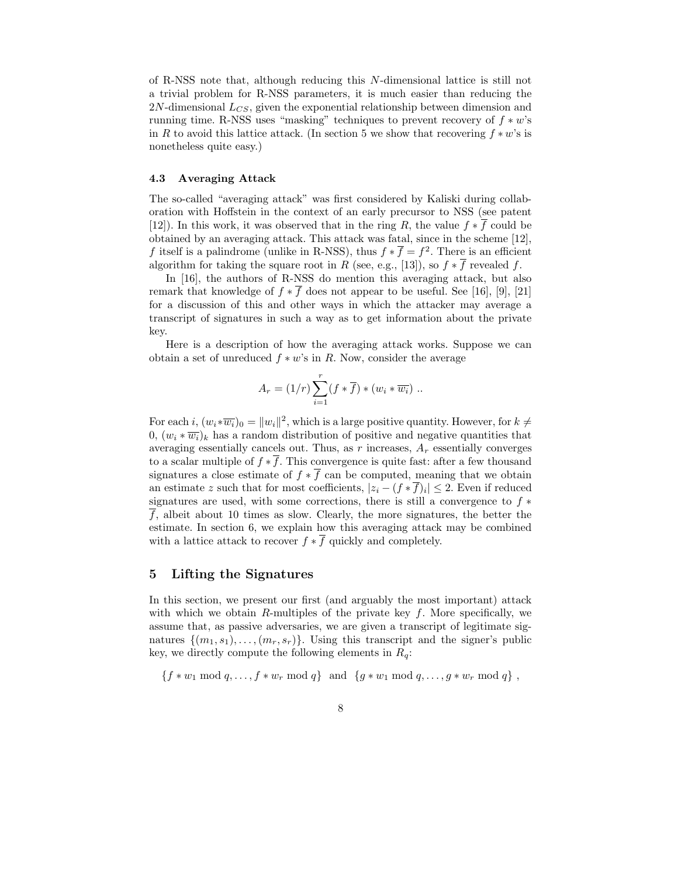of R-NSS note that, although reducing this N-dimensional lattice is still not a trivial problem for R-NSS parameters, it is much easier than reducing the  $2N$ -dimensional  $L_{CS}$ , given the exponential relationship between dimension and running time. R-NSS uses "masking" techniques to prevent recovery of  $f * w$ 's in R to avoid this lattice attack. (In section 5 we show that recovering  $f * w$ 's is nonetheless quite easy.)

### 4.3 Averaging Attack

The so-called "averaging attack" was first considered by Kaliski during collaboration with Hoffstein in the context of an early precursor to NSS (see patent [12]). In this work, it was observed that in the ring R, the value  $f * \overline{f}$  could be obtained by an averaging attack. This attack was fatal, since in the scheme [12], f itself is a palindrome (unlike in R-NSS), thus  $f * \overline{f} = f^2$ . There is an efficient algorithm for taking the square root in R (see, e.g., [13]), so  $f * \overline{f}$  revealed f.

In [16], the authors of R-NSS do mention this averaging attack, but also remark that knowledge of  $f * \overline{f}$  does not appear to be useful. See [16], [9], [21] for a discussion of this and other ways in which the attacker may average a transcript of signatures in such a way as to get information about the private key.

Here is a description of how the averaging attack works. Suppose we can obtain a set of unreduced  $f * w$ 's in R. Now, consider the average

$$
A_r = (1/r) \sum_{i=1}^r (f * \overline{f}) * (w_i * \overline{w_i}) \dots
$$

For each  $i, (w_i \ast \overline{w_i})_0 = ||w_i||^2$ , which is a large positive quantity. However, for  $k \neq$ 0,  $(w_i * \overline{w_i})_k$  has a random distribution of positive and negative quantities that averaging essentially cancels out. Thus, as r increases,  $A<sub>r</sub>$  essentially converges to a scalar multiple of  $f * \overline{f}$ . This convergence is quite fast: after a few thousand signatures a close estimate of  $f * \overline{f}$  can be computed, meaning that we obtain an estimate z such that for most coefficients,  $|z_i - (f * f)_i| \leq 2$ . Even if reduced signatures are used, with some corrections, there is still a convergence to  $f *$  $\overline{f}$ , albeit about 10 times as slow. Clearly, the more signatures, the better the estimate. In section 6, we explain how this averaging attack may be combined with a lattice attack to recover  $f * \overline{f}$  quickly and completely.

## 5 Lifting the Signatures

In this section, we present our first (and arguably the most important) attack with which we obtain R-multiples of the private key  $f$ . More specifically, we assume that, as passive adversaries, we are given a transcript of legitimate signatures  $\{(m_1, s_1), \ldots, (m_r, s_r)\}\.$  Using this transcript and the signer's public key, we directly compute the following elements in  $R_q$ :

 ${f * w_1 \mod q, ..., f * w_r \mod q}$  and  ${g * w_1 \mod q, ..., g * w_r \mod q}$ ,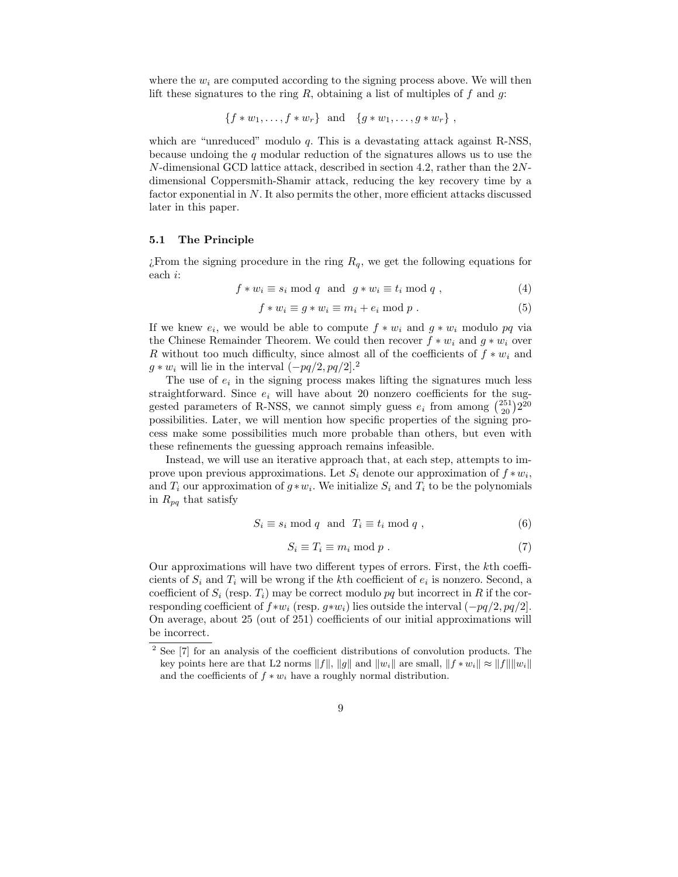where the  $w_i$  are computed according to the signing process above. We will then lift these signatures to the ring R, obtaining a list of multiples of f and q.

$$
\{f*w_1,\ldots,f*w_r\} \text{ and } \{g*w_1,\ldots,g*w_r\},\
$$

which are "unreduced" modulo  $q$ . This is a devastating attack against R-NSS, because undoing the q modular reduction of the signatures allows us to use the N-dimensional GCD lattice attack, described in section 4.2, rather than the 2Ndimensional Coppersmith-Shamir attack, reducing the key recovery time by a factor exponential in  $N$ . It also permits the other, more efficient attacks discussed later in this paper.

### 5.1 The Principle

¿From the signing procedure in the ring  $R_q$ , we get the following equations for each i:

$$
f * w_i \equiv s_i \bmod q \text{ and } g * w_i \equiv t_i \bmod q ,
$$
 (4)

$$
f * w_i \equiv g * w_i \equiv m_i + e_i \bmod p . \tag{5}
$$

If we knew  $e_i$ , we would be able to compute  $f * w_i$  and  $g * w_i$  modulo pq via the Chinese Remainder Theorem. We could then recover  $f * w_i$  and  $g * w_i$  over R without too much difficulty, since almost all of the coefficients of  $f * w_i$  and  $q * w_i$  will lie in the interval  $(-pq/2, pq/2]^2$ .

The use of  $e_i$  in the signing process makes lifting the signatures much less straightforward. Since  $e_i$  will have about 20 nonzero coefficients for the suggested parameters of R-NSS, we cannot simply guess  $e_i$  from among  $\binom{251}{20}2^{20}$ possibilities. Later, we will mention how specific properties of the signing process make some possibilities much more probable than others, but even with these refinements the guessing approach remains infeasible.

Instead, we will use an iterative approach that, at each step, attempts to improve upon previous approximations. Let  $S_i$  denote our approximation of  $f * w_i$ , and  $T_i$  our approximation of  $g * w_i$ . We initialize  $S_i$  and  $T_i$  to be the polynomials in  $R_{pq}$  that satisfy

$$
S_i \equiv s_i \bmod q \text{ and } T_i \equiv t_i \bmod q , \qquad (6)
$$

$$
S_i \equiv T_i \equiv m_i \bmod p . \tag{7}
$$

Our approximations will have two different types of errors. First, the kth coefficients of  $S_i$  and  $T_i$  will be wrong if the kth coefficient of  $e_i$  is nonzero. Second, a coefficient of  $S_i$  (resp.  $T_i$ ) may be correct modulo pq but incorrect in R if the corresponding coefficient of  $f * w_i$  (resp.  $g * w_i$ ) lies outside the interval  $(-pq/2, pq/2]$ . On average, about 25 (out of 251) coefficients of our initial approximations will be incorrect.

<sup>2</sup> See [7] for an analysis of the coefficient distributions of convolution products. The key points here are that L2 norms  $||f||$ ,  $||g||$  and  $||w_i||$  are small,  $||f * w_i|| \approx ||f|| ||w_i||$ and the coefficients of  $f * w_i$  have a roughly normal distribution.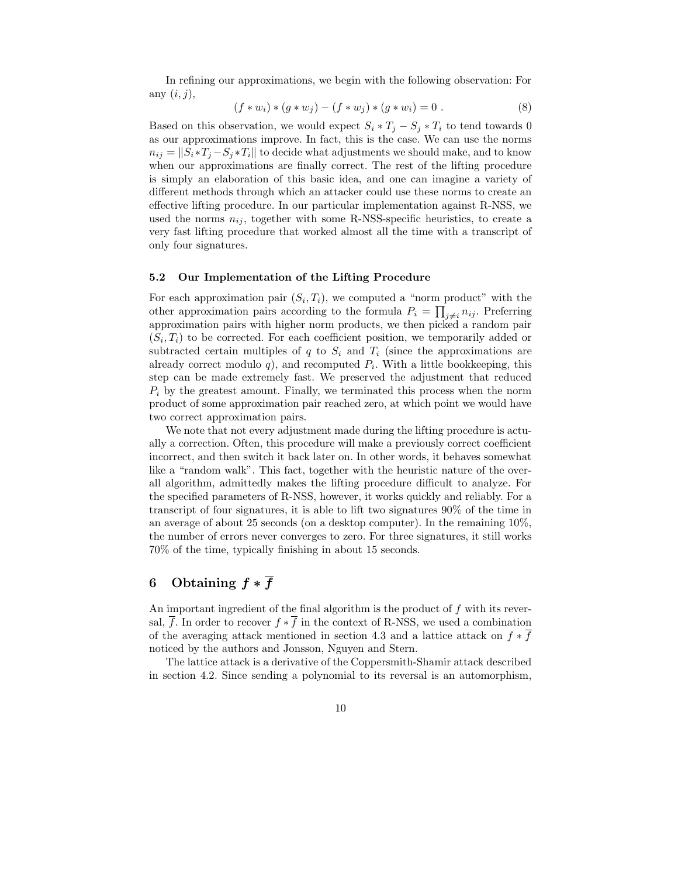In refining our approximations, we begin with the following observation: For any  $(i, j)$ ,

$$
(f * wi) * (g * wj) – (f * wj) * (g * wi) = 0.
$$
 (8)

Based on this observation, we would expect  $S_i * T_j - S_j * T_i$  to tend towards 0 as our approximations improve. In fact, this is the case. We can use the norms  $n_{ij} = ||S_i * T_j - S_j * T_i||$  to decide what adjustments we should make, and to know when our approximations are finally correct. The rest of the lifting procedure is simply an elaboration of this basic idea, and one can imagine a variety of different methods through which an attacker could use these norms to create an effective lifting procedure. In our particular implementation against R-NSS, we used the norms  $n_{ij}$ , together with some R-NSS-specific heuristics, to create a very fast lifting procedure that worked almost all the time with a transcript of only four signatures.

#### 5.2 Our Implementation of the Lifting Procedure

For each approximation pair  $(S_i, T_i)$ , we computed a "norm product" with the other approximation pairs according to the formula  $P_i = \prod_{j \neq i} n_{ij}$ . Preferring approximation pairs with higher norm products, we then picked a random pair  $(S_i, T_i)$  to be corrected. For each coefficient position, we temporarily added or subtracted certain multiples of q to  $S_i$  and  $T_i$  (since the approximations are already correct modulo  $q$ ), and recomputed  $P_i$ . With a little bookkeeping, this step can be made extremely fast. We preserved the adjustment that reduced  $P_i$  by the greatest amount. Finally, we terminated this process when the norm product of some approximation pair reached zero, at which point we would have two correct approximation pairs.

We note that not every adjustment made during the lifting procedure is actually a correction. Often, this procedure will make a previously correct coefficient incorrect, and then switch it back later on. In other words, it behaves somewhat like a "random walk". This fact, together with the heuristic nature of the overall algorithm, admittedly makes the lifting procedure difficult to analyze. For the specified parameters of R-NSS, however, it works quickly and reliably. For a transcript of four signatures, it is able to lift two signatures 90% of the time in an average of about 25 seconds (on a desktop computer). In the remaining 10%, the number of errors never converges to zero. For three signatures, it still works 70% of the time, typically finishing in about 15 seconds.

# 6 Obtaining  $f * \overline{f}$

An important ingredient of the final algorithm is the product of  $f$  with its reversal, f. In order to recover  $f * f$  in the context of R-NSS, we used a combination of the averaging attack mentioned in section 4.3 and a lattice attack on  $f * \overline{f}$ noticed by the authors and Jonsson, Nguyen and Stern.

The lattice attack is a derivative of the Coppersmith-Shamir attack described in section 4.2. Since sending a polynomial to its reversal is an automorphism,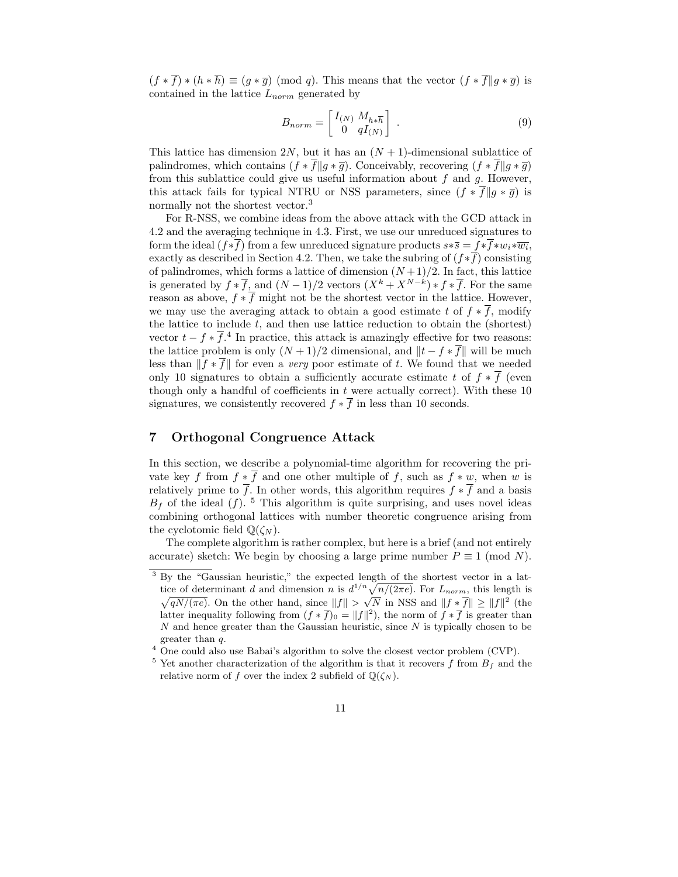$(f * \overline{f}) * (h * \overline{h}) \equiv (g * \overline{g}) \pmod{q}$ . This means that the vector  $(f * \overline{f} || g * \overline{g})$  is contained in the lattice  $L_{norm}$  generated by

$$
B_{norm} = \begin{bmatrix} I_{(N)} & M_{h * \overline{h}} \\ 0 & q I_{(N)} \end{bmatrix} . \tag{9}
$$

This lattice has dimension  $2N$ , but it has an  $(N + 1)$ -dimensional sublattice of palindromes, which contains  $(f * \overline{f} || g * \overline{g})$ . Conceivably, recovering  $(f * \overline{f} || g * \overline{g})$ from this sublattice could give us useful information about  $f$  and  $g$ . However, this attack fails for typical NTRU or NSS parameters, since  $(f * \overline{f} \| g * \overline{g})$  is normally not the shortest vector.<sup>3</sup>

For R-NSS, we combine ideas from the above attack with the GCD attack in 4.2 and the averaging technique in 4.3. First, we use our unreduced signatures to form the ideal  $(f*f)$  from a few unreduced signature products  $s*\overline{s} = f*f*w_i*\overline{w_i}$ , exactly as described in Section 4.2. Then, we take the subring of  $(f * \overline{f})$  consisting of palindromes, which forms a lattice of dimension  $(N+1)/2$ . In fact, this lattice is generated by  $f * \overline{f}$ , and  $(N-1)/2$  vectors  $(X^k + X^{N-k}) * f * \overline{f}$ . For the same reason as above,  $f * \overline{f}$  might not be the shortest vector in the lattice. However, we may use the averaging attack to obtain a good estimate t of  $f * \overline{f}$ , modify the lattice to include  $t$ , and then use lattice reduction to obtain the (shortest) vector  $t - f * \overline{f}$ .<sup>4</sup> In practice, this attack is amazingly effective for two reasons: the lattice problem is only  $(N + 1)/2$  dimensional, and  $||t - f \times \overline{f}||$  will be much less than  $|| f * \overline{f} ||$  for even a very poor estimate of t. We found that we needed only 10 signatures to obtain a sufficiently accurate estimate t of  $f * \overline{f}$  (even though only a handful of coefficients in  $t$  were actually correct). With these 10 signatures, we consistently recovered  $f * \overline{f}$  in less than 10 seconds.

# 7 Orthogonal Congruence Attack

In this section, we describe a polynomial-time algorithm for recovering the private key f from  $f * \overline{f}$  and one other multiple of f, such as  $f * w$ , when w is relatively prime to  $\overline{f}$ . In other words, this algorithm requires  $f * \overline{f}$  and a basis  $B_f$  of the ideal (f). <sup>5</sup> This algorithm is quite surprising, and uses novel ideas combining orthogonal lattices with number theoretic congruence arising from the cyclotomic field  $\mathbb{Q}(\zeta_N)$ .

The complete algorithm is rather complex, but here is a brief (and not entirely accurate) sketch: We begin by choosing a large prime number  $P \equiv 1 \pmod{N}$ .

<sup>&</sup>lt;sup>3</sup> By the "Gaussian heuristic," the expected length of the shortest vector in a lattice of determinant d and dimension n is  $d^{1/n} \sqrt{\ }$  $\sqrt{}$  $n/(2\pi e)$ . For  $L_{norm}$ , this length is  $\sqrt{\frac{N}{n}}$ . On the other hand, since  $||f|| > \sqrt{\frac{N}{N}}$  in NSS and  $||f * f|| \ge ||f||^2$  (the latter inequality following from  $(f * \overline{f})_0 = ||f||^2$ , the norm of  $f * \overline{f}$  is greater than  $N$  and hence greater than the Gaussian heuristic, since  $N$  is typically chosen to be greater than q.

<sup>&</sup>lt;sup>4</sup> One could also use Babai's algorithm to solve the closest vector problem (CVP).

<sup>&</sup>lt;sup>5</sup> Yet another characterization of the algorithm is that it recovers  $f$  from  $B_f$  and the relative norm of f over the index 2 subfield of  $\mathbb{Q}(\zeta_N)$ .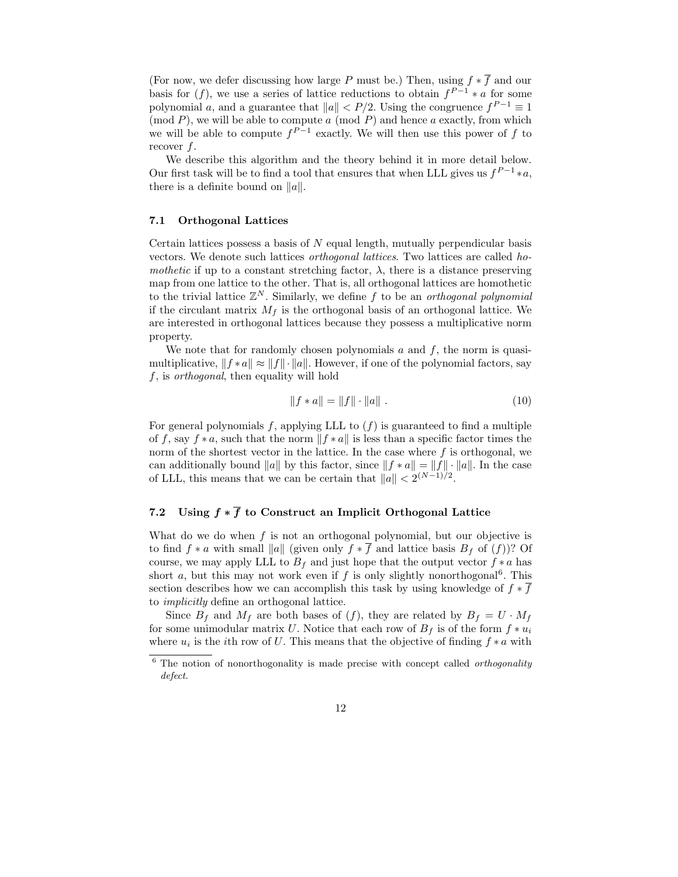(For now, we defer discussing how large P must be.) Then, using  $f * \overline{f}$  and our basis for  $(f)$ , we use a series of lattice reductions to obtain  $f^{P-1} * a$  for some polynomial a, and a guarantee that  $||a|| < P/2$ . Using the congruence  $f^{P-1} \equiv 1$ (mod  $P$ ), we will be able to compute  $a \pmod{P}$  and hence  $a$  exactly, from which we will be able to compute  $f^{P-1}$  exactly. We will then use this power of f to recover f.

We describe this algorithm and the theory behind it in more detail below. Our first task will be to find a tool that ensures that when LLL gives us  $f^{P-1} * a$ , there is a definite bound on  $||a||$ .

#### 7.1 Orthogonal Lattices

Certain lattices possess a basis of  $N$  equal length, mutually perpendicular basis vectors. We denote such lattices orthogonal lattices. Two lattices are called homothetic if up to a constant stretching factor,  $\lambda$ , there is a distance preserving map from one lattice to the other. That is, all orthogonal lattices are homothetic to the trivial lattice  $\mathbb{Z}^N$ . Similarly, we define f to be an *orthogonal polynomial* if the circulant matrix  $M_f$  is the orthogonal basis of an orthogonal lattice. We are interested in orthogonal lattices because they possess a multiplicative norm property.

We note that for randomly chosen polynomials  $a$  and  $f$ , the norm is quasimultiplicative,  $|| f * a || \approx || f || \cdot || a ||$ . However, if one of the polynomial factors, say f, is orthogonal, then equality will hold

$$
||f * a|| = ||f|| \cdot ||a||.
$$
 (10)

For general polynomials f, applying LLL to  $(f)$  is guaranteed to find a multiple of f, say  $f * a$ , such that the norm  $|| f * a ||$  is less than a specific factor times the norm of the shortest vector in the lattice. In the case where  $f$  is orthogonal, we can additionally bound  $||a||$  by this factor, since  $||f * a|| = ||f|| \cdot ||a||$ . In the case of LLL, this means that we can be certain that  $||a|| < 2^{(N-1)/2}$ .

# 7.2 Using  $f * \overline{f}$  to Construct an Implicit Orthogonal Lattice

What do we do when  $f$  is not an orthogonal polynomial, but our objective is to find  $f * a$  with small  $||a||$  (given only  $f * \overline{f}$  and lattice basis  $B_f$  of  $(f)$ )? Of course, we may apply LLL to  $B_f$  and just hope that the output vector  $f * a$  has short  $a$ , but this may not work even if  $f$  is only slightly nonorthogonal<sup>6</sup>. This section describes how we can accomplish this task by using knowledge of  $f * \overline{f}$ to implicitly define an orthogonal lattice.

Since  $B_f$  and  $M_f$  are both bases of  $(f)$ , they are related by  $B_f = U \cdot M_f$ for some unimodular matrix U. Notice that each row of  $B_f$  is of the form  $f * u_i$ where  $u_i$  is the *i*th row of U. This means that the objective of finding  $f * a$  with

 $6$  The notion of nonorthogonality is made precise with concept called *orthogonality* defect.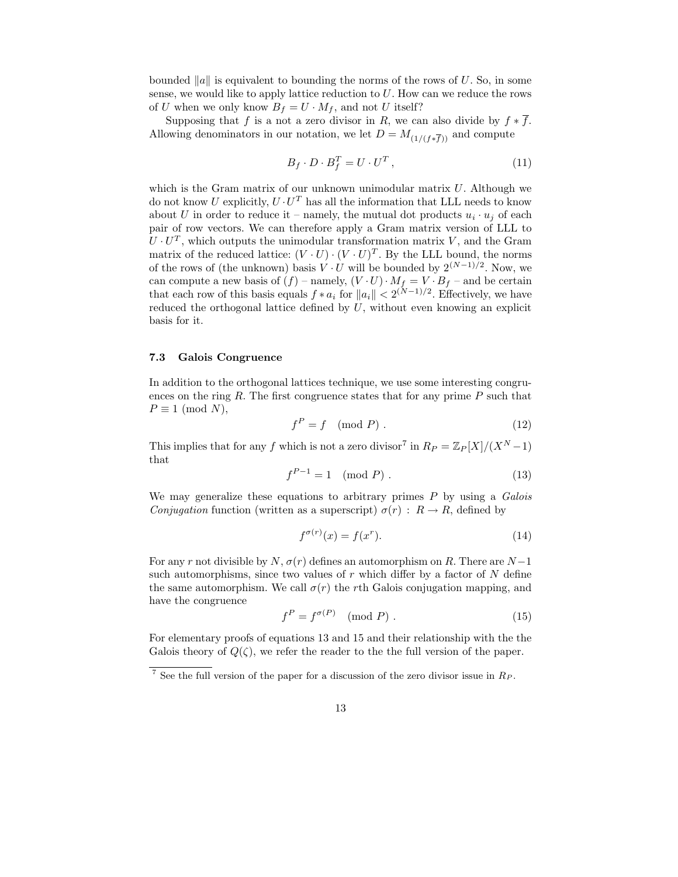bounded  $||a||$  is equivalent to bounding the norms of the rows of U. So, in some sense, we would like to apply lattice reduction to  $U$ . How can we reduce the rows of U when we only know  $B_f = U \cdot M_f$ , and not U itself?

Supposing that f is a not a zero divisor in R, we can also divide by  $f * \overline{f}$ . Allowing denominators in our notation, we let  $D = M_{(1/(f*\overline{f}))}$  and compute

$$
B_f \cdot D \cdot B_f^T = U \cdot U^T , \qquad (11)
$$

which is the Gram matrix of our unknown unimodular matrix  $U$ . Although we do not know U explicitly,  $U \cdot U^T$  has all the information that LLL needs to know about U in order to reduce it – namely, the mutual dot products  $u_i \cdot u_j$  of each pair of row vectors. We can therefore apply a Gram matrix version of LLL to  $U \cdot U^T$ , which outputs the unimodular transformation matrix V, and the Gram matrix of the reduced lattice:  $(V \cdot U) \cdot (V \cdot U)^T$ . By the LLL bound, the norms of the rows of (the unknown) basis  $V \cdot U$  will be bounded by  $2^{(N-1)/2}$ . Now, we can compute a new basis of  $(f)$  – namely,  $(V \cdot U) \cdot M_f = V \cdot B_f$  – and be certain that each row of this basis equals  $f * a_i$  for  $||a_i|| < 2^{(N-1)/2}$ . Effectively, we have reduced the orthogonal lattice defined by  $U$ , without even knowing an explicit basis for it.

## 7.3 Galois Congruence

In addition to the orthogonal lattices technique, we use some interesting congruences on the ring  $R$ . The first congruence states that for any prime  $P$  such that  $P \equiv 1 \pmod{N}$ ,

$$
f^P = f \pmod{P} \tag{12}
$$

This implies that for any f which is not a zero divisor<sup>7</sup> in  $R_P = \mathbb{Z}_P[X]/(X^N - 1)$ that

$$
f^{P-1} = 1 \pmod{P} \tag{13}
$$

We may generalize these equations to arbitrary primes  $P$  by using a Galois *Conjugation* function (written as a superscript)  $\sigma(r)$  :  $R \rightarrow R$ , defined by

$$
f^{\sigma(r)}(x) = f(x^r). \tag{14}
$$

For any r not divisible by N,  $\sigma(r)$  defines an automorphism on R. There are N −1 such automorphisms, since two values of  $r$  which differ by a factor of  $N$  define the same automorphism. We call  $\sigma(r)$  the rth Galois conjugation mapping, and have the congruence

$$
f^P = f^{\sigma(P)} \pmod{P} \tag{15}
$$

For elementary proofs of equations 13 and 15 and their relationship with the the Galois theory of  $Q(\zeta)$ , we refer the reader to the full version of the paper.

<sup>&</sup>lt;sup>7</sup> See the full version of the paper for a discussion of the zero divisor issue in  $R_P$ .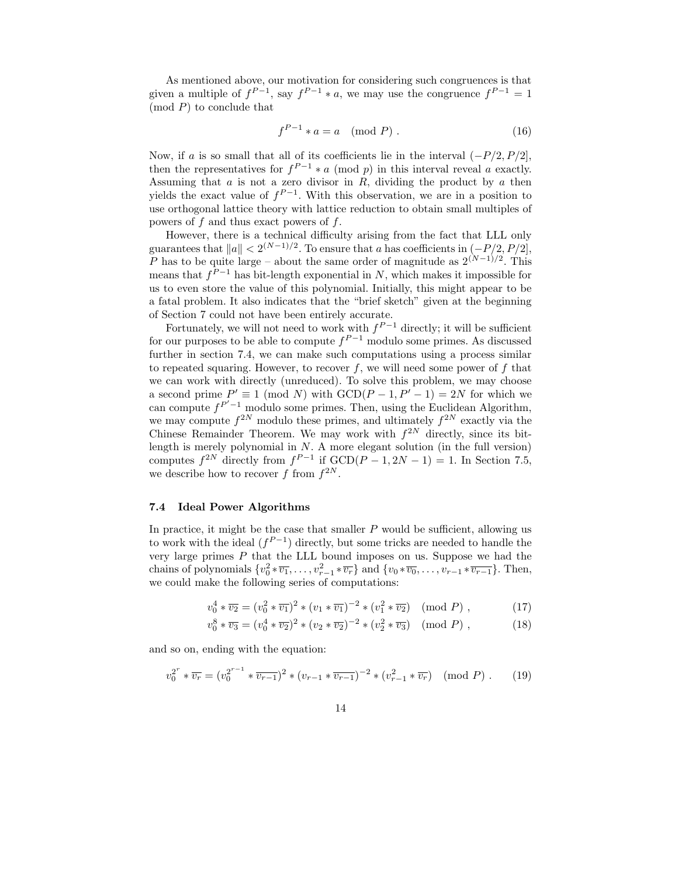As mentioned above, our motivation for considering such congruences is that given a multiple of  $f^{P-1}$ , say  $f^{P-1} * a$ , we may use the congruence  $f^{P-1} = 1$  $\pmod{P}$  to conclude that

$$
f^{P-1} * a = a \pmod{P} . \tag{16}
$$

Now, if a is so small that all of its coefficients lie in the interval  $(-P/2, P/2]$ , then the representatives for  $f^{P-1} * a \pmod{p}$  in this interval reveal a exactly. Assuming that  $a$  is not a zero divisor in  $R$ , dividing the product by  $a$  then yields the exact value of  $f^{P-1}$ . With this observation, we are in a position to use orthogonal lattice theory with lattice reduction to obtain small multiples of powers of  $f$  and thus exact powers of  $f$ .

However, there is a technical difficulty arising from the fact that LLL only guarantees that  $||a|| < 2^{(N-1)/2}$ . To ensure that a has coefficients in  $(-P/2, P/2]$ , P has to be quite large – about the same order of magnitude as  $2^{(N-1)/2}$ . This means that  $f^{P-1}$  has bit-length exponential in N, which makes it impossible for us to even store the value of this polynomial. Initially, this might appear to be a fatal problem. It also indicates that the "brief sketch" given at the beginning of Section 7 could not have been entirely accurate.

Fortunately, we will not need to work with  $f^{P-1}$  directly; it will be sufficient for our purposes to be able to compute  $f^{P-1}$  modulo some primes. As discussed further in section 7.4, we can make such computations using a process similar to repeated squaring. However, to recover  $f$ , we will need some power of  $f$  that we can work with directly (unreduced). To solve this problem, we may choose a second prime  $P' \equiv 1 \pmod{N}$  with  $GCD(P-1, P'-1) = 2N$  for which we can compute  $f^{P'-1}$  modulo some primes. Then, using the Euclidean Algorithm, we may compute  $f^{2N}$  modulo these primes, and ultimately  $f^{2N}$  exactly via the Chinese Remainder Theorem. We may work with  $f^{2N}$  directly, since its bitlength is merely polynomial in  $N$ . A more elegant solution (in the full version) computes  $f^{2N}$  directly from  $f^{P-1}$  if  $GCD(P-1, 2N-1) = 1$ . In Section 7.5, we describe how to recover f from  $f^{2N}$ .

### 7.4 Ideal Power Algorithms

In practice, it might be the case that smaller  $P$  would be sufficient, allowing us to work with the ideal  $(f^{P-1})$  directly, but some tricks are needed to handle the very large primes  $P$  that the LLL bound imposes on us. Suppose we had the chains of polynomials  $\{v_0^2 * \overline{v_1}, \ldots, v_{r-1}^2 * \overline{v_r}\}$  and  $\{v_0 * \overline{v_0}, \ldots, v_{r-1} * \overline{v_{r-1}}\}$ . Then, we could make the following series of computations:

$$
v_0^4 * \overline{v_2} = (v_0^2 * \overline{v_1})^2 * (v_1 * \overline{v_1})^{-2} * (v_1^2 * \overline{v_2}) \pmod{P}, \qquad (17)
$$

$$
v_0^8 * \overline{v_3} = (v_0^4 * \overline{v_2})^2 * (v_2 * \overline{v_2})^{-2} * (v_2^2 * \overline{v_3}) \pmod{P},
$$
 (18)

and so on, ending with the equation:

$$
v_0^{2^r} * \overline{v_r} = (v_0^{2^{r-1}} * \overline{v_{r-1}})^2 * (v_{r-1} * \overline{v_{r-1}})^{-2} * (v_{r-1}^2 * \overline{v_r}) \pmod{P} . \tag{19}
$$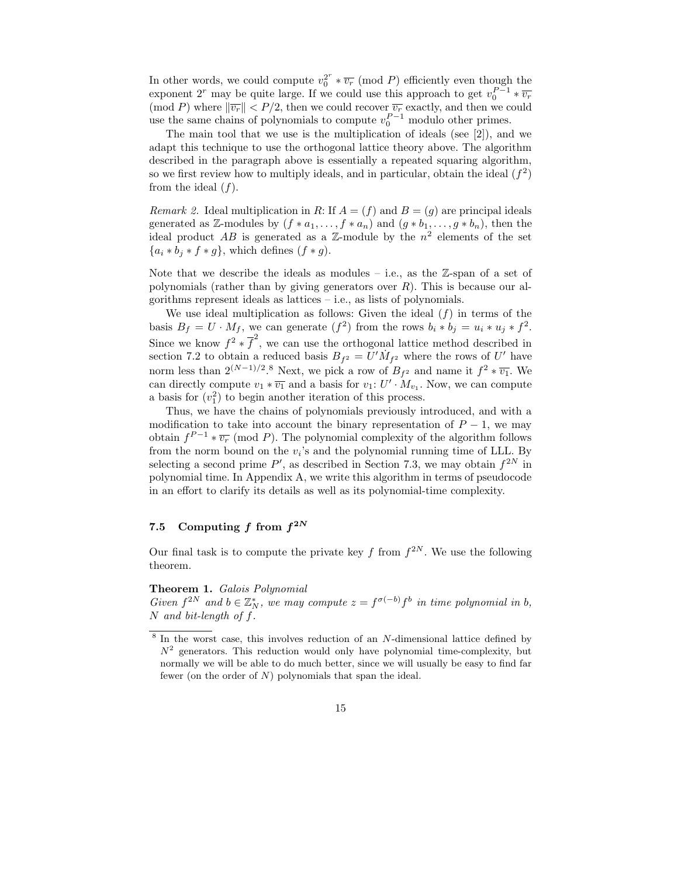In other words, we could compute  $v_0^{2^r} * \overline{v_r}$  (mod P) efficiently even though the exponent 2<sup>r</sup> may be quite large. If we could use this approach to get  $v_0^{P-1} * \overline{v_r}$ (mod P) where  $\|\overline{v_r}\| < P/2$ , then we could recover  $\overline{v_r}$  exactly, and then we could use the same chains of polynomials to compute  $v_0^{P-1}$  modulo other primes.

The main tool that we use is the multiplication of ideals (see [2]), and we adapt this technique to use the orthogonal lattice theory above. The algorithm described in the paragraph above is essentially a repeated squaring algorithm, so we first review how to multiply ideals, and in particular, obtain the ideal  $(f^2)$ from the ideal  $(f)$ .

Remark 2. Ideal multiplication in R: If  $A = (f)$  and  $B = (g)$  are principal ideals generated as Z-modules by  $(f * a_1, \ldots, f * a_n)$  and  $(g * b_1, \ldots, g * b_n)$ , then the ideal product AB is generated as a  $\mathbb{Z}$ -module by the  $n^2$  elements of the set  ${a_i * b_j * f * g}$ , which defines  $(f * g)$ .

Note that we describe the ideals as modules  $-$  i.e., as the  $\mathbb{Z}$ -span of a set of polynomials (rather than by giving generators over  $R$ ). This is because our algorithms represent ideals as lattices – i.e., as lists of polynomials.

We use ideal multiplication as follows: Given the ideal  $(f)$  in terms of the basis  $B_f = U \cdot M_f$ , we can generate  $(f^2)$  from the rows  $b_i * b_j = u_i * u_j * f^2$ . Since we know  $f^2 * \overline{f}^2$ , we can use the orthogonal lattice method described in section 7.2 to obtain a reduced basis  $B_{f^2} = U'\dot{M}_{f^2}$  where the rows of U' have norm less than  $2^{(N-1)/2}$ .<sup>8</sup> Next, we pick a row of  $B_{f^2}$  and name it  $f^2 * \overline{v_1}$ . We can directly compute  $v_1 * \overline{v_1}$  and a basis for  $v_1 : U' \cdot M_{v_1}$ . Now, we can compute a basis for  $(v_1^2)$  to begin another iteration of this process.

Thus, we have the chains of polynomials previously introduced, and with a modification to take into account the binary representation of  $P-1$ , we may obtain  $f^{P-1} * \overline{v_r}$  (mod P). The polynomial complexity of the algorithm follows from the norm bound on the  $v_i$ 's and the polynomial running time of LLL. By selecting a second prime  $P'$ , as described in Section 7.3, we may obtain  $f^{2N}$  in polynomial time. In Appendix A, we write this algorithm in terms of pseudocode in an effort to clarify its details as well as its polynomial-time complexity.

# 7.5 Computing f from  $f^{2N}$

Our final task is to compute the private key f from  $f^{2N}$ . We use the following theorem.

#### Theorem 1. Galois Polynomial

Given  $f^{2N}$  and  $b \in \mathbb{Z}_N^*$ , we may compute  $z = f^{\sigma(-b)} f^b$  in time polynomial in b, N and bit-length of f.

<sup>&</sup>lt;sup>8</sup> In the worst case, this involves reduction of an N-dimensional lattice defined by  $N^2$  generators. This reduction would only have polynomial time-complexity, but normally we will be able to do much better, since we will usually be easy to find far fewer (on the order of  $N$ ) polynomials that span the ideal.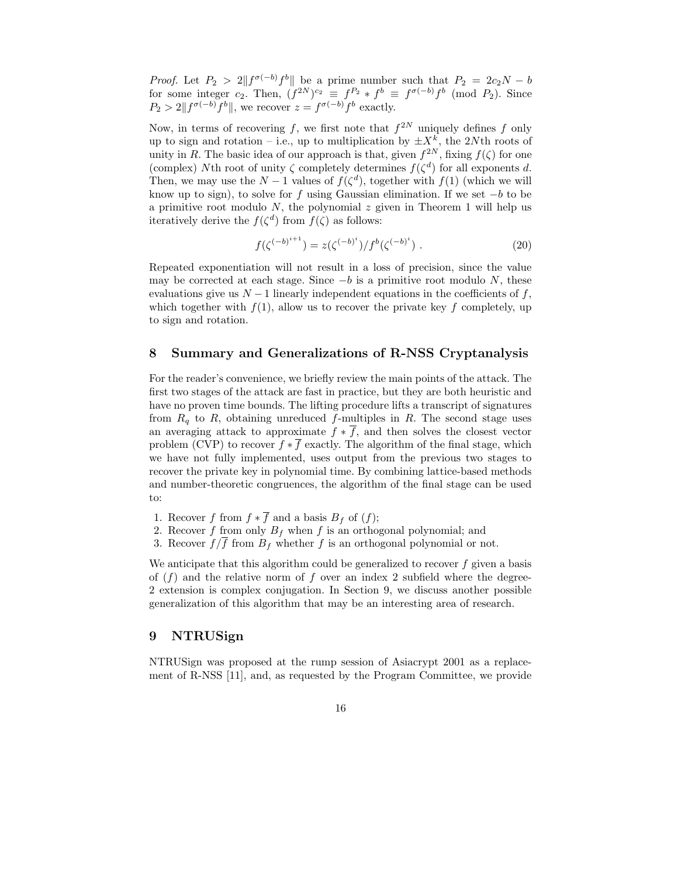*Proof.* Let  $P_2 > 2||f^{\sigma(-b)}f^b||$  be a prime number such that  $P_2 = 2c_2N - b$ for some integer  $c_2$ . Then,  $(f^{2N})^{c_2} \equiv f^{P_2} * f^b \equiv f^{\sigma(-b)} f^b \pmod{P_2}$ . Since  $P_2 > 2||f^{\sigma(-b)}f^b||$ , we recover  $z = f^{\sigma(-b)}f^b$  exactly.

Now, in terms of recovering f, we first note that  $f^{2N}$  uniquely defines f only up to sign and rotation – i.e., up to multiplication by  $\pm X^k$ , the 2Nth roots of unity in R. The basic idea of our approach is that, given  $f^{2N}$ , fixing  $f(\zeta)$  for one (complex) Nth root of unity  $\zeta$  completely determines  $f(\zeta^d)$  for all exponents d. Then, we may use the  $N-1$  values of  $f(\zeta^d)$ , together with  $f(1)$  (which we will know up to sign), to solve for f using Gaussian elimination. If we set  $-b$  to be a primitive root modulo  $N$ , the polynomial  $z$  given in Theorem 1 will help us iteratively derive the  $f(\zeta^d)$  from  $f(\zeta)$  as follows:

$$
f(\zeta^{(-b)^{i+1}}) = z(\zeta^{(-b)^{i}})/f^{b}(\zeta^{(-b)^{i}}).
$$
 (20)

Repeated exponentiation will not result in a loss of precision, since the value may be corrected at each stage. Since  $-b$  is a primitive root modulo N, these evaluations give us  $N-1$  linearly independent equations in the coefficients of f, which together with  $f(1)$ , allow us to recover the private key f completely, up to sign and rotation.

# 8 Summary and Generalizations of R-NSS Cryptanalysis

For the reader's convenience, we briefly review the main points of the attack. The first two stages of the attack are fast in practice, but they are both heuristic and have no proven time bounds. The lifting procedure lifts a transcript of signatures from  $R_q$  to R, obtaining unreduced f-multiples in R. The second stage uses an averaging attack to approximate  $f * \overline{f}$ , and then solves the closest vector problem (CVP) to recover  $f * \overline{f}$  exactly. The algorithm of the final stage, which we have not fully implemented, uses output from the previous two stages to recover the private key in polynomial time. By combining lattice-based methods and number-theoretic congruences, the algorithm of the final stage can be used to:

- 1. Recover f from  $f * \overline{f}$  and a basis  $B_f$  of  $(f)$ ;
- 2. Recover f from only  $B_f$  when f is an orthogonal polynomial; and
- 3. Recover  $f/\overline{f}$  from  $B_f$  whether f is an orthogonal polynomial or not.

We anticipate that this algorithm could be generalized to recover  $f$  given a basis of  $(f)$  and the relative norm of f over an index 2 subfield where the degree-2 extension is complex conjugation. In Section 9, we discuss another possible generalization of this algorithm that may be an interesting area of research.

# 9 NTRUSign

NTRUSign was proposed at the rump session of Asiacrypt 2001 as a replacement of R-NSS [11], and, as requested by the Program Committee, we provide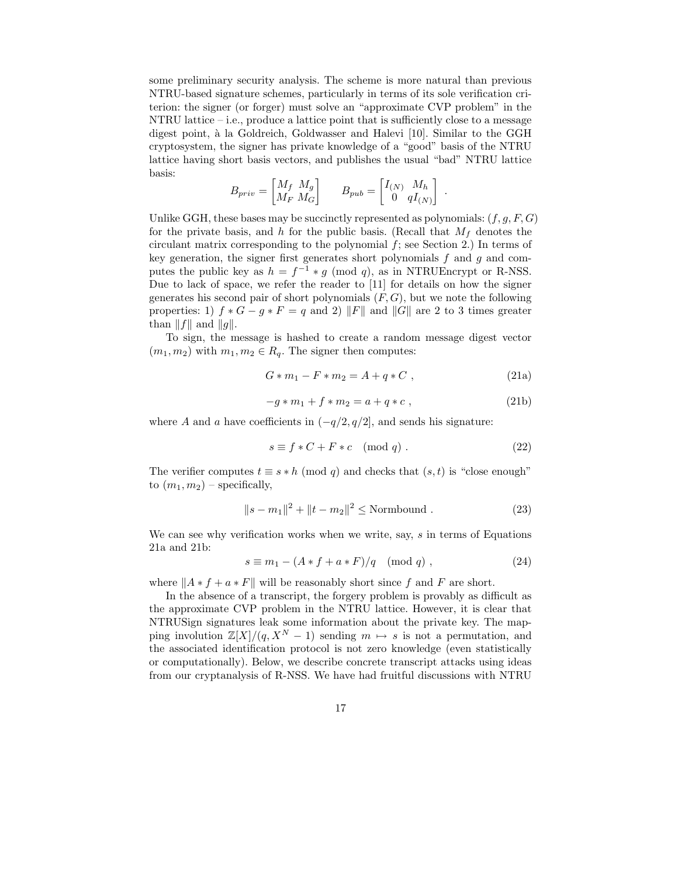some preliminary security analysis. The scheme is more natural than previous NTRU-based signature schemes, particularly in terms of its sole verification criterion: the signer (or forger) must solve an "approximate CVP problem" in the NTRU lattice – i.e., produce a lattice point that is sufficiently close to a message digest point, à la Goldreich, Goldwasser and Halevi [10]. Similar to the GGH cryptosystem, the signer has private knowledge of a "good" basis of the NTRU lattice having short basis vectors, and publishes the usual "bad" NTRU lattice basis:

$$
B_{priv} = \begin{bmatrix} M_f & M_g \\ M_F & M_G \end{bmatrix} \qquad B_{pub} = \begin{bmatrix} I_{(N)} & M_h \\ 0 & qI_{(N)} \end{bmatrix}
$$

Unlike GGH, these bases may be succinctly represented as polynomials:  $(f, g, F, G)$ for the private basis, and h for the public basis. (Recall that  $M_f$  denotes the circulant matrix corresponding to the polynomial  $f$ ; see Section 2.) In terms of key generation, the signer first generates short polynomials  $f$  and  $g$  and computes the public key as  $h = f^{-1} * g \pmod{q}$ , as in NTRUEncrypt or R-NSS. Due to lack of space, we refer the reader to [11] for details on how the signer generates his second pair of short polynomials  $(F, G)$ , but we note the following properties: 1)  $f * G - g * F = q$  and 2) ||F|| and ||G|| are 2 to 3 times greater than  $||f||$  and  $||g||$ .

To sign, the message is hashed to create a random message digest vector  $(m_1, m_2)$  with  $m_1, m_2 \in R_q$ . The signer then computes:

$$
G * m_1 - F * m_2 = A + q * C , \qquad (21a)
$$

.

$$
-g * m_1 + f * m_2 = a + q * c , \qquad (21b)
$$

where A and a have coefficients in  $(-q/2, q/2]$ , and sends his signature:

$$
s \equiv f * C + F * c \pmod{q} . \tag{22}
$$

The verifier computes  $t \equiv s * h \pmod{q}$  and checks that  $(s, t)$  is "close enough" to  $(m_1, m_2)$  – specifically,

$$
||s - m1||2 + ||t - m2||2 \leq \text{Normbound} . \tag{23}
$$

We can see why verification works when we write, say, s in terms of Equations 21a and 21b:

$$
s \equiv m_1 - (A * f + a * F)/q \pmod{q}, \qquad (24)
$$

where  $||A * f + a * F||$  will be reasonably short since f and F are short.

In the absence of a transcript, the forgery problem is provably as difficult as the approximate CVP problem in the NTRU lattice. However, it is clear that NTRUSign signatures leak some information about the private key. The mapping involution  $\mathbb{Z}[X]/(q, X^N - 1)$  sending  $m \mapsto s$  is not a permutation, and the associated identification protocol is not zero knowledge (even statistically or computationally). Below, we describe concrete transcript attacks using ideas from our cryptanalysis of R-NSS. We have had fruitful discussions with NTRU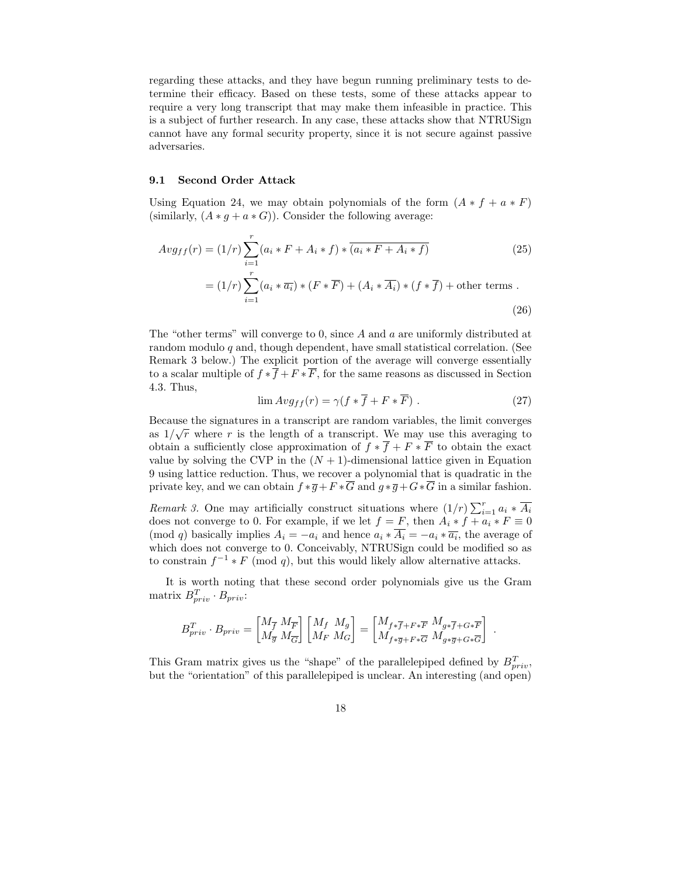regarding these attacks, and they have begun running preliminary tests to determine their efficacy. Based on these tests, some of these attacks appear to require a very long transcript that may make them infeasible in practice. This is a subject of further research. In any case, these attacks show that NTRUSign cannot have any formal security property, since it is not secure against passive adversaries.

#### 9.1 Second Order Attack

Using Equation 24, we may obtain polynomials of the form  $(A * f + a * F)$ (similarly,  $(A * g + a * G)$ ). Consider the following average:

$$
Avg_{ff}(r) = (1/r)\sum_{i=1}^{r} (a_i * F + A_i * f) * \overline{(a_i * F + A_i * f)}
$$
(25)  

$$
= (1/r)\sum_{i=1}^{r} (a_i * \overline{a_i}) * (F * \overline{F}) + (A_i * \overline{A_i}) * (f * \overline{f}) + \text{other terms}.
$$
(26)

The "other terms" will converge to 0, since A and a are uniformly distributed at random modulo  $q$  and, though dependent, have small statistical correlation. (See Remark 3 below.) The explicit portion of the average will converge essentially to a scalar multiple of  $f * \overline{f} + F * \overline{F}$ , for the same reasons as discussed in Section 4.3. Thus,

$$
\lim Avg_{ff}(r) = \gamma(f * \overline{f} + F * \overline{F}). \tag{27}
$$

Because the signatures in a transcript are random variables, the limit converges as  $1/\sqrt{r}$  where r is the length of a transcript. We may use this averaging to obtain a sufficiently close approximation of  $f * \overline{f} + F * \overline{F}$  to obtain the exact value by solving the CVP in the  $(N + 1)$ -dimensional lattice given in Equation 9 using lattice reduction. Thus, we recover a polynomial that is quadratic in the private key, and we can obtain  $f * \overline{g} + F * \overline{G}$  and  $g * \overline{g} + G * \overline{G}$  in a similar fashion.

Remark 3. One may artificially construct situations where  $(1/r) \sum_{i=1}^{r} a_i * \overline{A_i}$ does not converge to 0. For example, if we let  $f = F$ , then  $A_i * f + a_i * F \equiv 0$ (mod q) basically implies  $A_i = -a_i$  and hence  $a_i * A_i = -a_i * \overline{a_i}$ , the average of which does not converge to 0. Conceivably, NTRUSign could be modified so as to constrain  $f^{-1} * F \pmod{q}$ , but this would likely allow alternative attacks.

It is worth noting that these second order polynomials give us the Gram matrix  $B_{priv}^T \cdot B_{priv}$ :

$$
B_{priv}^T \cdot B_{priv} = \begin{bmatrix} M_{\overline{f}} & M_{\overline{F}} \\ M_{\overline{g}} & M_{\overline{G}} \end{bmatrix} \begin{bmatrix} M_f & M_g \\ M_F & M_G \end{bmatrix} = \begin{bmatrix} M_{f * \overline{f} + F * \overline{F}} & M_{g * \overline{f} + G * \overline{F}} \\ M_{f * \overline{g} + F * \overline{G}} & M_{g * \overline{g} + G * \overline{G}} \end{bmatrix} .
$$

This Gram matrix gives us the "shape" of the parallelepiped defined by  $B_{priv}^T$ , but the "orientation" of this parallelepiped is unclear. An interesting (and open)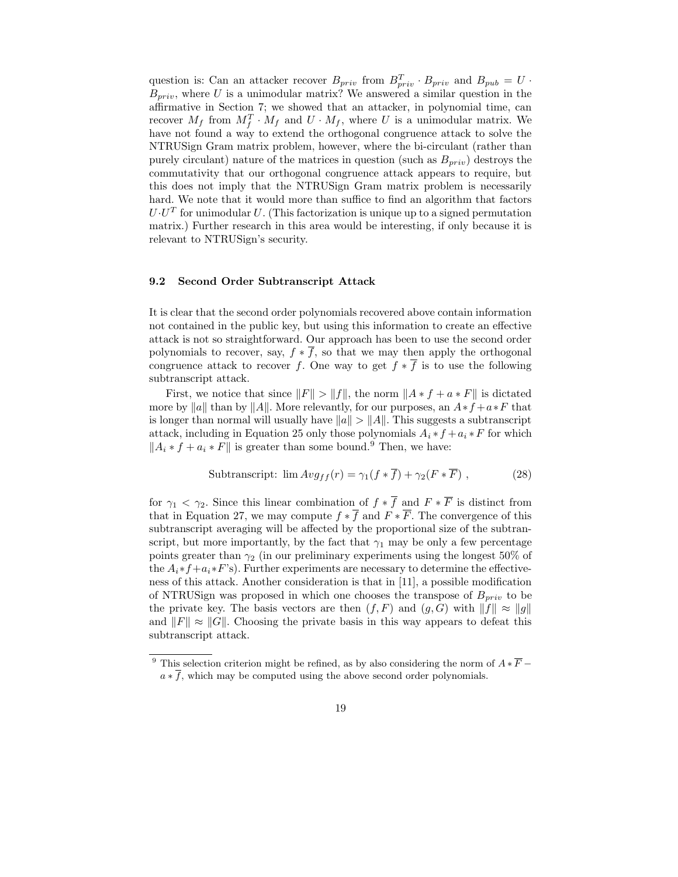question is: Can an attacker recover  $B_{priv}$  from  $B_{priv}^T \cdot B_{priv}$  and  $B_{pub} = U \cdot$  $B_{priv}$ , where U is a unimodular matrix? We answered a similar question in the affirmative in Section 7; we showed that an attacker, in polynomial time, can recover  $M_f$  from  $M_f^T \cdot M_f$  and  $U \cdot M_f$ , where U is a unimodular matrix. We have not found a way to extend the orthogonal congruence attack to solve the NTRUSign Gram matrix problem, however, where the bi-circulant (rather than purely circulant) nature of the matrices in question (such as  $B_{priv}$ ) destroys the commutativity that our orthogonal congruence attack appears to require, but this does not imply that the NTRUSign Gram matrix problem is necessarily hard. We note that it would more than suffice to find an algorithm that factors  $U \cdot U^T$  for unimodular U. (This factorization is unique up to a signed permutation matrix.) Further research in this area would be interesting, if only because it is relevant to NTRUSign's security.

### 9.2 Second Order Subtranscript Attack

It is clear that the second order polynomials recovered above contain information not contained in the public key, but using this information to create an effective attack is not so straightforward. Our approach has been to use the second order polynomials to recover, say,  $f * \overline{f}$ , so that we may then apply the orthogonal congruence attack to recover f. One way to get  $f * \overline{f}$  is to use the following subtranscript attack.

First, we notice that since  $||F|| > ||f||$ , the norm  $||A * f + a * F||$  is dictated more by ||a|| than by ||A||. More relevantly, for our purposes, an  $A*f + a*F$  that is longer than normal will usually have  $||a|| > ||A||$ . This suggests a subtranscript attack, including in Equation 25 only those polynomials  $A_i * f + a_i * F$  for which  $||A_i * f + a_i * F||$  is greater than some bound.<sup>9</sup> Then, we have:

Subtranscript: 
$$
\lim_{x \to f} \text{Arg}_f(r) = \gamma_1(f * \overline{f}) + \gamma_2(F * \overline{F})
$$
, (28)

for  $\gamma_1 < \gamma_2$ . Since this linear combination of  $f * \overline{f}$  and  $F * \overline{F}$  is distinct from that in Equation 27, we may compute  $f * \overline{f}$  and  $F * \overline{F}$ . The convergence of this subtranscript averaging will be affected by the proportional size of the subtranscript, but more importantly, by the fact that  $\gamma_1$  may be only a few percentage points greater than  $\gamma_2$  (in our preliminary experiments using the longest 50% of the  $A_i * f + a_i * F$ 's). Further experiments are necessary to determine the effectiveness of this attack. Another consideration is that in [11], a possible modification of NTRUSign was proposed in which one chooses the transpose of  $B_{priv}$  to be the private key. The basis vectors are then  $(f, F)$  and  $(g, G)$  with  $||f|| \approx ||g||$ and  $||F|| \approx ||G||$ . Choosing the private basis in this way appears to defeat this subtranscript attack.

<sup>&</sup>lt;sup>9</sup> This selection criterion might be refined, as by also considering the norm of  $A * \overline{F}$  −  $a * \overline{f}$ , which may be computed using the above second order polynomials.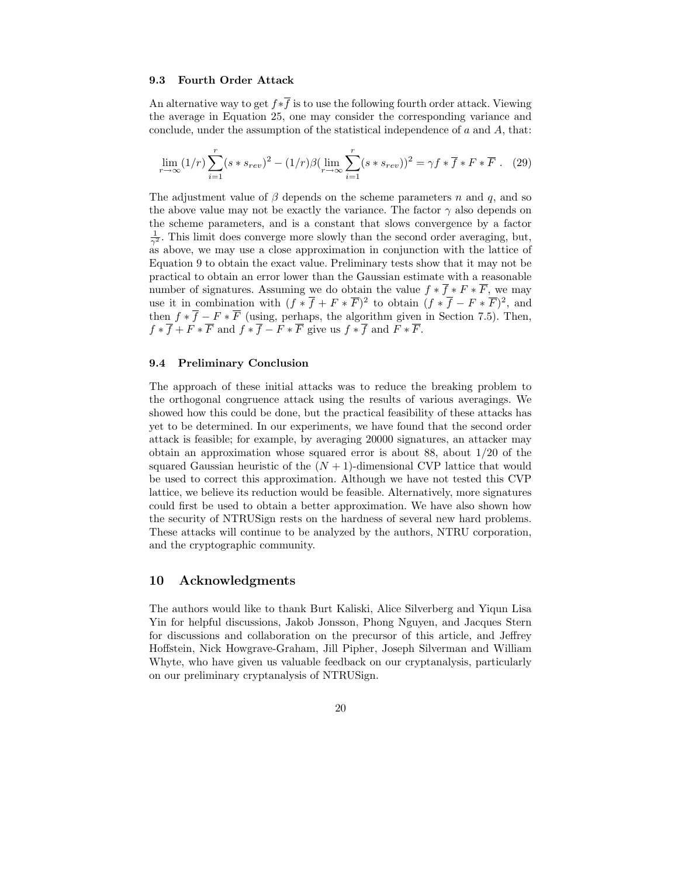# 9.3 Fourth Order Attack

An alternative way to get  $f * \overline{f}$  is to use the following fourth order attack. Viewing the average in Equation 25, one may consider the corresponding variance and conclude, under the assumption of the statistical independence of  $a$  and  $A$ , that:

$$
\lim_{r \to \infty} (1/r) \sum_{i=1}^{r} (s * s_{rev})^2 - (1/r)\beta (\lim_{r \to \infty} \sum_{i=1}^{r} (s * s_{rev}))^2 = \gamma f * \overline{f} * F * \overline{F} . \tag{29}
$$

The adjustment value of  $\beta$  depends on the scheme parameters n and q, and so the above value may not be exactly the variance. The factor  $\gamma$  also depends on the scheme parameters, and is a constant that slows convergence by a factor  $\frac{1}{\gamma^2}$ . This limit does converge more slowly than the second order averaging, but, as above, we may use a close approximation in conjunction with the lattice of Equation 9 to obtain the exact value. Preliminary tests show that it may not be practical to obtain an error lower than the Gaussian estimate with a reasonable number of signatures. Assuming we do obtain the value  $f * \overline{f} * F * \overline{F}$ , we may use it in combination with  $(f * \overline{f} + F * \overline{F})^2$  to obtain  $(f * \overline{f} - F * \overline{F})^2$ , and then  $f * \overline{f} - F * \overline{F}$  (using, perhaps, the algorithm given in Section 7.5). Then,  $f * \overline{f} + F * \overline{F}$  and  $f * \overline{f} - F * \overline{F}$  give us  $f * \overline{f}$  and  $F * \overline{F}$ .

### 9.4 Preliminary Conclusion

The approach of these initial attacks was to reduce the breaking problem to the orthogonal congruence attack using the results of various averagings. We showed how this could be done, but the practical feasibility of these attacks has yet to be determined. In our experiments, we have found that the second order attack is feasible; for example, by averaging 20000 signatures, an attacker may obtain an approximation whose squared error is about 88, about 1/20 of the squared Gaussian heuristic of the  $(N + 1)$ -dimensional CVP lattice that would be used to correct this approximation. Although we have not tested this CVP lattice, we believe its reduction would be feasible. Alternatively, more signatures could first be used to obtain a better approximation. We have also shown how the security of NTRUSign rests on the hardness of several new hard problems. These attacks will continue to be analyzed by the authors, NTRU corporation, and the cryptographic community.

## 10 Acknowledgments

The authors would like to thank Burt Kaliski, Alice Silverberg and Yiqun Lisa Yin for helpful discussions, Jakob Jonsson, Phong Nguyen, and Jacques Stern for discussions and collaboration on the precursor of this article, and Jeffrey Hoffstein, Nick Howgrave-Graham, Jill Pipher, Joseph Silverman and William Whyte, who have given us valuable feedback on our cryptanalysis, particularly on our preliminary cryptanalysis of NTRUSign.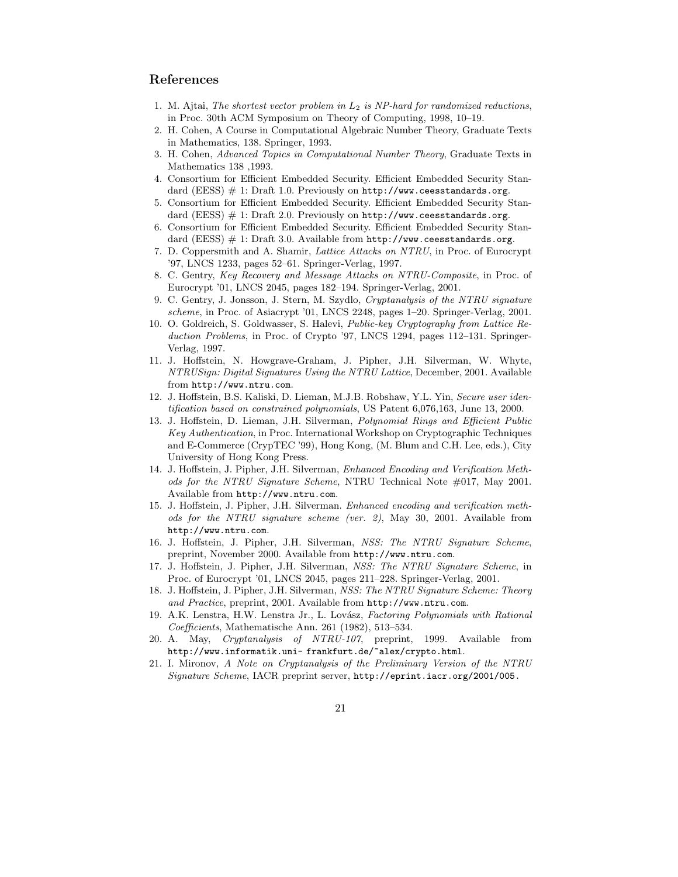# References

- 1. M. Ajtai, The shortest vector problem in  $L_2$  is NP-hard for randomized reductions, in Proc. 30th ACM Symposium on Theory of Computing, 1998, 10–19.
- 2. H. Cohen, A Course in Computational Algebraic Number Theory, Graduate Texts in Mathematics, 138. Springer, 1993.
- 3. H. Cohen, Advanced Topics in Computational Number Theory, Graduate Texts in Mathematics 138 ,1993.
- 4. Consortium for Efficient Embedded Security. Efficient Embedded Security Standard (EESS) # 1: Draft 1.0. Previously on http://www.ceesstandards.org.
- 5. Consortium for Efficient Embedded Security. Efficient Embedded Security Standard (EESS)  $\#$  1: Draft 2.0. Previously on  $http://www.ceesstandards.org$ .
- 6. Consortium for Efficient Embedded Security. Efficient Embedded Security Standard (EESS)  $\#$  1: Draft 3.0. Available from http://www.ceesstandards.org.
- 7. D. Coppersmith and A. Shamir, Lattice Attacks on NTRU, in Proc. of Eurocrypt '97, LNCS 1233, pages 52–61. Springer-Verlag, 1997.
- 8. C. Gentry, Key Recovery and Message Attacks on NTRU-Composite, in Proc. of Eurocrypt '01, LNCS 2045, pages 182–194. Springer-Verlag, 2001.
- 9. C. Gentry, J. Jonsson, J. Stern, M. Szydlo, Cryptanalysis of the NTRU signature scheme, in Proc. of Asiacrypt '01, LNCS 2248, pages 1–20. Springer-Verlag, 2001.
- 10. O. Goldreich, S. Goldwasser, S. Halevi, Public-key Cryptography from Lattice Reduction Problems, in Proc. of Crypto '97, LNCS 1294, pages 112–131. Springer-Verlag, 1997.
- 11. J. Hoffstein, N. Howgrave-Graham, J. Pipher, J.H. Silverman, W. Whyte, NTRUSign: Digital Signatures Using the NTRU Lattice, December, 2001. Available from http://www.ntru.com.
- 12. J. Hoffstein, B.S. Kaliski, D. Lieman, M.J.B. Robshaw, Y.L. Yin, Secure user identification based on constrained polynomials, US Patent 6,076,163, June 13, 2000.
- 13. J. Hoffstein, D. Lieman, J.H. Silverman, Polynomial Rings and Efficient Public Key Authentication, in Proc. International Workshop on Cryptographic Techniques and E-Commerce (CrypTEC '99), Hong Kong, (M. Blum and C.H. Lee, eds.), City University of Hong Kong Press.
- 14. J. Hoffstein, J. Pipher, J.H. Silverman, Enhanced Encoding and Verification Methods for the NTRU Signature Scheme, NTRU Technical Note #017, May 2001. Available from http://www.ntru.com.
- 15. J. Hoffstein, J. Pipher, J.H. Silverman. Enhanced encoding and verification methods for the NTRU signature scheme (ver. 2), May 30, 2001. Available from http://www.ntru.com.
- 16. J. Hoffstein, J. Pipher, J.H. Silverman, NSS: The NTRU Signature Scheme, preprint, November 2000. Available from http://www.ntru.com.
- 17. J. Hoffstein, J. Pipher, J.H. Silverman, NSS: The NTRU Signature Scheme, in Proc. of Eurocrypt '01, LNCS 2045, pages 211–228. Springer-Verlag, 2001.
- 18. J. Hoffstein, J. Pipher, J.H. Silverman, NSS: The NTRU Signature Scheme: Theory and Practice, preprint, 2001. Available from http://www.ntru.com.
- 19. A.K. Lenstra, H.W. Lenstra Jr., L. Lovász, Factoring Polynomials with Rational Coefficients, Mathematische Ann. 261 (1982), 513–534.
- 20. A. May, Cryptanalysis of NTRU-107, preprint, 1999. Available from http://www.informatik.uni- frankfurt.de/~alex/crypto.html.
- 21. I. Mironov, A Note on Cryptanalysis of the Preliminary Version of the NTRU Signature Scheme, IACR preprint server, http://eprint.iacr.org/2001/005.